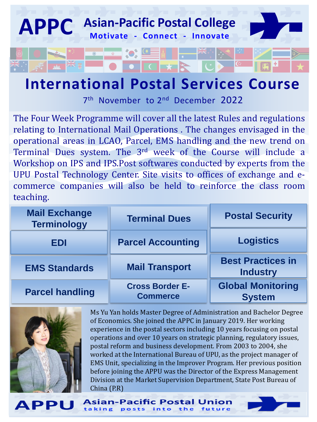

## **International Postal Services Course**

7<sup>th</sup> November to 2<sup>nd</sup> December 2022

The Four Week Programme will cover all the latest Rules and regulations relating to International Mail Operations . The changes envisaged in the operational areas in LCAO, Parcel, EMS handling and the new trend on Terminal Dues system. The 3<sup>rd</sup> week of the Course will include a Workshop on IPS and IPS.Post softwares conducted by experts from the UPU Postal Technology Center. Site visits to offices of exchange and ecommerce companies will also be held to reinforce the class room teaching.

| <b>Mail Exchange</b><br><b>Terminology</b> | <b>Terminal Dues</b>                      | <b>Postal Security</b>                      |  |
|--------------------------------------------|-------------------------------------------|---------------------------------------------|--|
| EDI                                        | <b>Parcel Accounting</b>                  | <b>Logistics</b>                            |  |
| <b>EMS Standards</b>                       | <b>Mail Transport</b>                     | <b>Best Practices in</b><br><b>Industry</b> |  |
| <b>Parcel handling</b>                     | <b>Cross Border E-</b><br><b>Commerce</b> | <b>Global Monitoring</b><br><b>System</b>   |  |

**Asian-Pacific Postal l** 



**APPI** 

Ms Yu Yan holds Master Degree of Administration and Bachelor Degree of Economics. She joined the APPC in January 2019. Her working experience in the postal sectors including 10 years focusing on postal operations and over 10 years on strategic planning, regulatory issues, postal reform and business development. From 2003 to 2004, she worked at the International Bureau of UPU, as the project manager of EMS Unit, specializing in the Improver Program. Her previous position before joining the APPU was the Director of the Express Management Division at the Market Supervision Department, State Post Bureau of China (P.R)